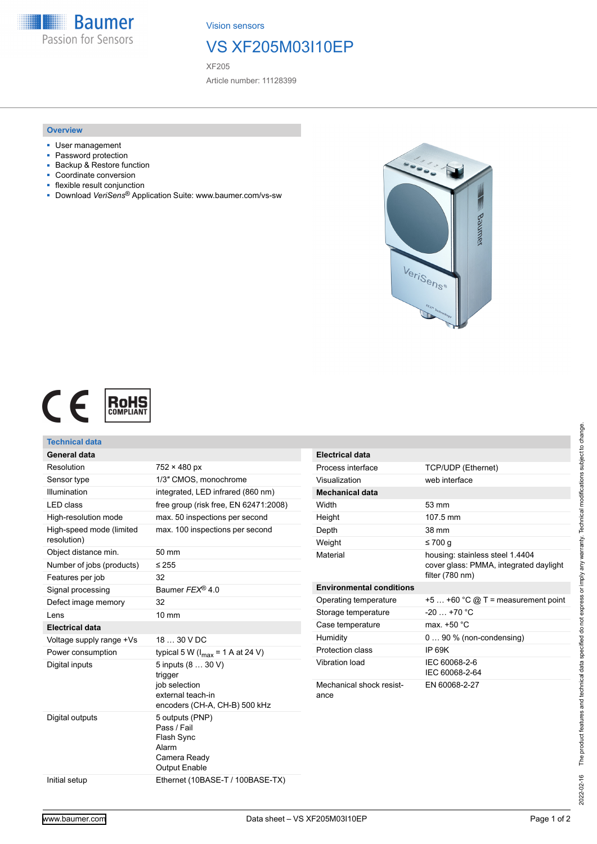

Vision sensors

### VS XF205M03I10EP

XF205

Article number: 11128399

#### **Overview**

- User management
- Password protection
- Backup & Restore function
- Coordinate conversion
- flexible result conjunction
- Download *VeriSens*® Application Suite: www.baumer.com/vs-sw



# CE **ROHS**

| Technical data                          |                                                                                               |                                  |                                                                           |
|-----------------------------------------|-----------------------------------------------------------------------------------------------|----------------------------------|---------------------------------------------------------------------------|
| <b>General data</b>                     |                                                                                               | <b>Electrical data</b>           |                                                                           |
| Resolution                              | $752 \times 480$ px                                                                           | Process interface                | <b>TCP/UDP (Ethernet)</b>                                                 |
| Sensor type                             | 1/3" CMOS. monochrome                                                                         | Visualization                    | web interface                                                             |
| Illumination                            | integrated, LED infrared (860 nm)                                                             | <b>Mechanical data</b>           |                                                                           |
| <b>LED</b> class                        | free group (risk free, EN 62471:2008)                                                         | Width                            | 53 mm                                                                     |
| High-resolution mode                    | max. 50 inspections per second                                                                | Height                           | 107.5 mm                                                                  |
| High-speed mode (limited<br>resolution) | max. 100 inspections per second                                                               | Depth                            | 38 mm                                                                     |
| Object distance min.                    | 50 mm                                                                                         | Weight                           | ≤700 $q$                                                                  |
| Number of jobs (products)               | $\leq 255$                                                                                    | Material                         | housing: stainless steel 1.4404<br>cover glass: PMMA, integrated daylight |
| Features per job                        | 32                                                                                            |                                  | filter (780 nm)                                                           |
| Signal processing                       | Baumer FEX® 4.0                                                                               | <b>Environmental conditions</b>  |                                                                           |
| Defect image memory                     | 32                                                                                            | Operating temperature            | $+5+60$ °C @ T = measurement point                                        |
| Lens                                    | 10 mm                                                                                         | Storage temperature              | $-20+70$ °C                                                               |
| <b>Electrical data</b>                  |                                                                                               | Case temperature                 | max. +50 °C                                                               |
| Voltage supply range +Vs                | 18  30 V DC                                                                                   | Humidity                         | $090\%$ (non-condensing)                                                  |
| Power consumption                       | typical 5 W ( $I_{max}$ = 1 A at 24 V)                                                        | Protection class                 | <b>IP 69K</b>                                                             |
| Digital inputs                          | 5 inputs (8  30 V)<br>trigger                                                                 | Vibration load                   | IEC 60068-2-6<br>IEC 60068-2-64                                           |
|                                         | iob selection<br>external teach-in<br>encoders (CH-A, CH-B) 500 kHz                           | Mechanical shock resist-<br>ance | EN 60068-2-27                                                             |
| Digital outputs                         | 5 outputs (PNP)<br>Pass / Fail<br>Flash Sync<br>Alarm<br>Camera Ready<br><b>Output Enable</b> |                                  |                                                                           |
| Initial setup                           | Ethernet (10BASE-T / 100BASE-TX)                                                              |                                  |                                                                           |